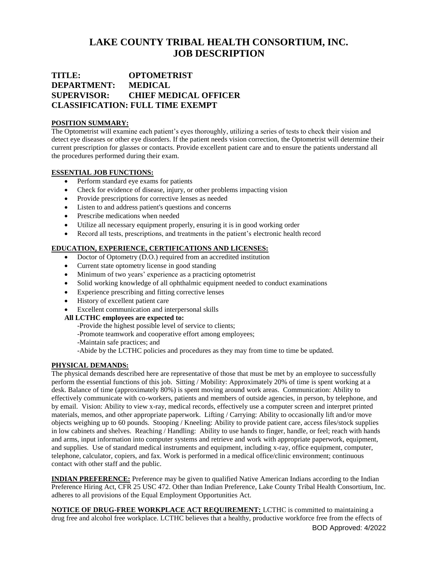# **LAKE COUNTY TRIBAL HEALTH CONSORTIUM, INC. JOB DESCRIPTION**

# **TITLE: OPTOMETRIST DEPARTMENT: MEDICAL SUPERVISOR: CHIEF MEDICAL OFFICER CLASSIFICATION: FULL TIME EXEMPT**

#### **POSITION SUMMARY:**

The Optometrist will examine each patient's eyes thoroughly, utilizing a series of tests to check their vision and detect eye diseases or other eye disorders. If the patient needs vision correction, the Optometrist will determine their current prescription for glasses or contacts. Provide excellent patient care and to ensure the patients understand all the procedures performed during their exam.

#### **ESSENTIAL JOB FUNCTIONS:**

- Perform standard eye exams for patients
- Check for evidence of disease, injury, or other problems impacting vision
- Provide prescriptions for corrective lenses as needed
- Listen to and address patient's questions and concerns
- Prescribe medications when needed
- Utilize all necessary equipment properly, ensuring it is in good working order
- Record all tests, prescriptions, and treatments in the patient's electronic health record

# **EDUCATION, EXPERIENCE, CERTIFICATIONS AND LICENSES:**

- Doctor of Optometry (D.O.) required from an accredited institution
- Current state optometry license in good standing
- Minimum of two years' experience as a practicing optometrist
- Solid working knowledge of all ophthalmic equipment needed to conduct examinations
- Experience prescribing and fitting corrective lenses
- History of excellent patient care
- Excellent communication and interpersonal skills

# **All LCTHC employees are expected to:**

-Provide the highest possible level of service to clients;

- -Promote teamwork and cooperative effort among employees;
- -Maintain safe practices; and
- -Abide by the LCTHC policies and procedures as they may from time to time be updated.

# **PHYSICAL DEMANDS:**

The physical demands described here are representative of those that must be met by an employee to successfully perform the essential functions of this job. Sitting / Mobility: Approximately 20% of time is spent working at a desk. Balance of time (approximately 80%) is spent moving around work areas. Communication: Ability to effectively communicate with co-workers, patients and members of outside agencies, in person, by telephone, and by email. Vision: Ability to view x-ray, medical records, effectively use a computer screen and interpret printed materials, memos, and other appropriate paperwork. Lifting / Carrying: Ability to occasionally lift and/or move objects weighing up to 60 pounds. Stooping / Kneeling: Ability to provide patient care, access files/stock supplies in low cabinets and shelves. Reaching / Handling: Ability to use hands to finger, handle, or feel; reach with hands and arms, input information into computer systems and retrieve and work with appropriate paperwork, equipment, and supplies. Use of standard medical instruments and equipment, including x-ray, office equipment, computer, telephone, calculator, copiers, and fax. Work is performed in a medical office/clinic environment; continuous contact with other staff and the public.

**INDIAN PREFERENCE:** Preference may be given to qualified Native American Indians according to the Indian Preference Hiring Act, CFR 25 USC 472. Other than Indian Preference, Lake County Tribal Health Consortium, Inc. adheres to all provisions of the Equal Employment Opportunities Act.

BOD Approved: 4/2022 **NOTICE OF DRUG-FREE WORKPLACE ACT REQUIREMENT:** LCTHC is committed to maintaining a drug free and alcohol free workplace. LCTHC believes that a healthy, productive workforce free from the effects of